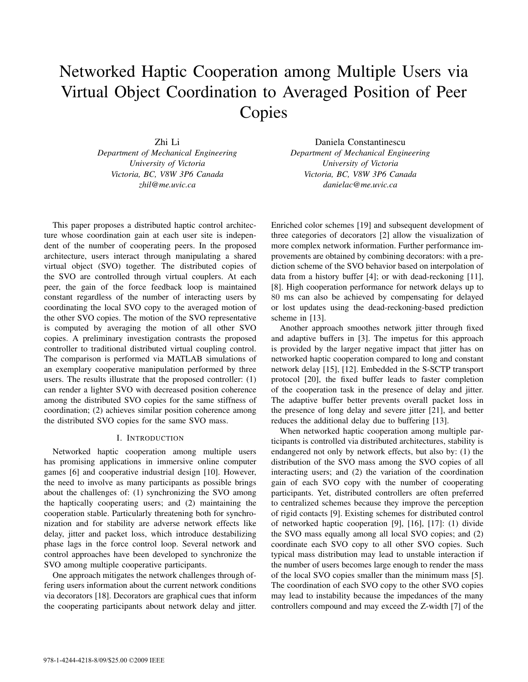# Networked Haptic Cooperation among Multiple Users via Virtual Object Coordination to Averaged Position of Peer Copies

Zhi Li *Department of Mechanical Engineering University of Victoria Victoria, BC, V8W 3P6 Canada zhil@me.uvic.ca*

This paper proposes a distributed haptic control architecture whose coordination gain at each user site is independent of the number of cooperating peers. In the proposed architecture, users interact through manipulating a shared virtual object (SVO) together. The distributed copies of the SVO are controlled through virtual couplers. At each peer, the gain of the force feedback loop is maintained constant regardless of the number of interacting users by coordinating the local SVO copy to the averaged motion of the other SVO copies. The motion of the SVO representative is computed by averaging the motion of all other SVO copies. A preliminary investigation contrasts the proposed controller to traditional distributed virtual coupling control. The comparison is performed via MATLAB simulations of an exemplary cooperative manipulation performed by three users. The results illustrate that the proposed controller: (1) can render a lighter SVO with decreased position coherence among the distributed SVO copies for the same stiffness of coordination; (2) achieves similar position coherence among the distributed SVO copies for the same SVO mass.

## I. INTRODUCTION

Networked haptic cooperation among multiple users has promising applications in immersive online computer games [6] and cooperative industrial design [10]. However, the need to involve as many participants as possible brings about the challenges of: (1) synchronizing the SVO among the haptically cooperating users; and (2) maintaining the cooperation stable. Particularly threatening both for synchronization and for stability are adverse network effects like delay, jitter and packet loss, which introduce destabilizing phase lags in the force control loop. Several network and control approaches have been developed to synchronize the SVO among multiple cooperative participants.

One approach mitigates the network challenges through offering users information about the current network conditions via decorators [18]. Decorators are graphical cues that inform the cooperating participants about network delay and jitter.

Daniela Constantinescu *Department of Mechanical Engineering University of Victoria Victoria, BC, V8W 3P6 Canada danielac@me.uvic.ca*

Enriched color schemes [19] and subsequent development of three categories of decorators [2] allow the visualization of more complex network information. Further performance improvements are obtained by combining decorators: with a prediction scheme of the SVO behavior based on interpolation of data from a history buffer [4]; or with dead-reckoning [11], [8]. High cooperation performance for network delays up to 80 ms can also be achieved by compensating for delayed or lost updates using the dead-reckoning-based prediction scheme in [13].

Another approach smoothes network jitter through fixed and adaptive buffers in [3]. The impetus for this approach is provided by the larger negative impact that jitter has on networked haptic cooperation compared to long and constant network delay [15], [12]. Embedded in the S-SCTP transport protocol [20], the fixed buffer leads to faster completion of the cooperation task in the presence of delay and jitter. The adaptive buffer better prevents overall packet loss in the presence of long delay and severe jitter [21], and better reduces the additional delay due to buffering [13].

When networked haptic cooperation among multiple participants is controlled via distributed architectures, stability is endangered not only by network effects, but also by: (1) the distribution of the SVO mass among the SVO copies of all interacting users; and (2) the variation of the coordination gain of each SVO copy with the number of cooperating participants. Yet, distributed controllers are often preferred to centralized schemes because they improve the perception of rigid contacts [9]. Existing schemes for distributed control of networked haptic cooperation [9], [16], [17]: (1) divide the SVO mass equally among all local SVO copies; and (2) coordinate each SVO copy to all other SVO copies. Such typical mass distribution may lead to unstable interaction if the number of users becomes large enough to render the mass of the local SVO copies smaller than the minimum mass [5]. The coordination of each SVO copy to the other SVO copies may lead to instability because the impedances of the many controllers compound and may exceed the Z-width [7] of the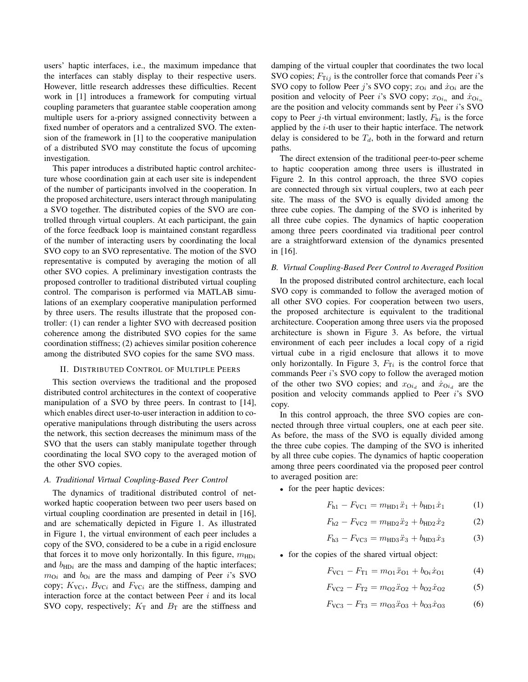users' haptic interfaces, i.e., the maximum impedance that the interfaces can stably display to their respective users. However, little research addresses these difficulties. Recent work in [1] introduces a framework for computing virtual coupling parameters that guarantee stable cooperation among multiple users for a-priory assigned connectivity between a fixed number of operators and a centralized SVO. The extension of the framework in [1] to the cooperative manipulation of a distributed SVO may constitute the focus of upcoming investigation.

This paper introduces a distributed haptic control architecture whose coordination gain at each user site is independent of the number of participants involved in the cooperation. In the proposed architecture, users interact through manipulating a SVO together. The distributed copies of the SVO are controlled through virtual couplers. At each participant, the gain of the force feedback loop is maintained constant regardless of the number of interacting users by coordinating the local SVO copy to an SVO representative. The motion of the SVO representative is computed by averaging the motion of all other SVO copies. A preliminary investigation contrasts the proposed controller to traditional distributed virtual coupling control. The comparison is performed via MATLAB simulations of an exemplary cooperative manipulation performed by three users. The results illustrate that the proposed controller: (1) can render a lighter SVO with decreased position coherence among the distributed SVO copies for the same coordination stiffness; (2) achieves similar position coherence among the distributed SVO copies for the same SVO mass.

## II. DISTRIBUTED CONTROL OF MULTIPLE PEERS

This section overviews the traditional and the proposed distributed control architectures in the context of cooperative manipulation of a SVO by three peers. In contrast to [14], which enables direct user-to-user interaction in addition to cooperative manipulations through distributing the users across the network, this section decreases the minimum mass of the SVO that the users can stably manipulate together through coordinating the local SVO copy to the averaged motion of the other SVO copies.

# *A. Traditional Virtual Coupling-Based Peer Control*

The dynamics of traditional distributed control of networked haptic cooperation between two peer users based on virtual coupling coordination are presented in detail in [16], and are schematically depicted in Figure 1. As illustrated in Figure 1, the virtual environment of each peer includes a copy of the SVO, considered to be a cube in a rigid enclosure that forces it to move only horizontally. In this figure,  $m_{HDi}$ and  $b_{\text{HD}i}$  are the mass and damping of the haptic interfaces;  $m<sub>Oi</sub>$  and  $b<sub>Oi</sub>$  are the mass and damping of Peer i's SVO copy;  $K_{\text{VC}i}$ ,  $B_{\text{VC}i}$  and  $F_{\text{VC}i}$  are the stiffness, damping and interaction force at the contact between Peer  $i$  and its local SVO copy, respectively;  $K_T$  and  $B_T$  are the stiffness and damping of the virtual coupler that coordinates the two local SVO copies;  $F_{Tij}$  is the controller force that comands Peer i's SVO copy to follow Peer j's SVO copy;  $x_{0i}$  and  $\dot{x}_{0i}$  are the position and velocity of Peer *i*'s SVO copy;  $x_{0i_n}$  and  $\dot{x}_{0i_n}$ are the position and velocity commands sent by Peer i's SVO copy to Peer  $j$ -th virtual environment; lastly,  $F_{hi}$  is the force applied by the  $i$ -th user to their haptic interface. The network delay is considered to be  $T_d$ , both in the forward and return paths.

The direct extension of the traditional peer-to-peer scheme to haptic cooperation among three users is illustrated in Figure 2. In this control approach, the three SVO copies are connected through six virtual couplers, two at each peer site. The mass of the SVO is equally divided among the three cube copies. The damping of the SVO is inherited by all three cube copies. The dynamics of haptic cooperation among three peers coordinated via traditional peer control are a straightforward extension of the dynamics presented in [16].

#### *B. Virtual Coupling-Based Peer Control to Averaged Position*

In the proposed distributed control architecture, each local SVO copy is commanded to follow the averaged motion of all other SVO copies. For cooperation between two users, the proposed architecture is equivalent to the traditional architecture. Cooperation among three users via the proposed architecture is shown in Figure 3. As before, the virtual environment of each peer includes a local copy of a rigid virtual cube in a rigid enclosure that allows it to move only horizontally. In Figure 3,  $F_{Ti}$  is the control force that commands Peer i's SVO copy to follow the averaged motion of the other two SVO copies; and  $x_{0i_d}$  and  $\dot{x}_{0i_d}$  are the position and velocity commands applied to Peer i's SVO copy.

In this control approach, the three SVO copies are connected through three virtual couplers, one at each peer site. As before, the mass of the SVO is equally divided among the three cube copies. The damping of the SVO is inherited by all three cube copies. The dynamics of haptic cooperation among three peers coordinated via the proposed peer control to averaged position are:

• for the peer haptic devices:

$$
F_{h1} - F_{\text{VC1}} = m_{\text{HD1}}\ddot{x}_1 + b_{\text{HD1}}\dot{x}_1 \tag{1}
$$

$$
F_{h2} - F_{\text{VC2}} = m_{\text{HD2}} \ddot{x}_2 + b_{\text{HD2}} \dot{x}_2 \tag{2}
$$

$$
F_{h3} - F_{\text{VC3}} = m_{\text{HD3}} \ddot{x}_3 + b_{\text{HD3}} \dot{x}_3 \tag{3}
$$

• for the copies of the shared virtual object:

$$
F_{\rm VC1} - F_{\rm T1} = m_{\rm O1} \ddot{x}_{\rm O1} + b_{\rm Oi} \dot{x}_{\rm O1} \tag{4}
$$

$$
F_{\rm VC2} - F_{\rm T2} = m_{\rm O2} \ddot{x}_{\rm O2} + b_{\rm O2} \dot{x}_{\rm O2} \tag{5}
$$

$$
F_{\rm VC3} - F_{\rm T3} = m_{\rm O3} \ddot{x}_{\rm O3} + b_{\rm O3} \dot{x}_{\rm O3} \tag{6}
$$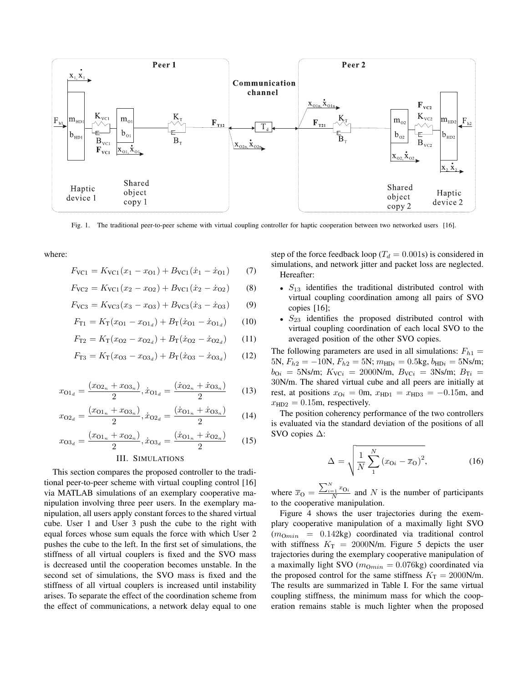

Fig. 1. The traditional peer-to-peer scheme with virtual coupling controller for haptic cooperation between two networked users [16].

where:

$$
F_{\text{VC1}} = K_{\text{VC1}}(x_1 - x_{01}) + B_{\text{VC1}}(\dot{x}_1 - \dot{x}_{01}) \tag{7}
$$

$$
F_{\rm VC2} = K_{\rm VC1}(x_2 - x_{02}) + B_{\rm VC1}(\dot{x}_2 - \dot{x}_{02})
$$
 (8)

$$
F_{\rm VC3} = K_{\rm VC3}(x_3 - x_{03}) + B_{\rm VC3}(\dot{x}_3 - \dot{x}_{03}) \tag{9}
$$

$$
F_{T1} = K_T(x_{01} - x_{01_d}) + B_T(\dot{x}_{01} - \dot{x}_{01_d}) \qquad (10)
$$

$$
F_{T2} = K_T(x_{02} - x_{02d}) + B_T(\dot{x}_{02} - \dot{x}_{02d}) \qquad (11)
$$

$$
F_{T3} = K_T(x_{03} - x_{03_d}) + B_T(\dot{x}_{03} - \dot{x}_{03_d}) \qquad (12)
$$

$$
x_{01_d} = \frac{(x_{02_n} + x_{03_n})}{2}, \dot{x}_{01_d} = \frac{(\dot{x}_{02_n} + \dot{x}_{03_n})}{2} \tag{13}
$$

$$
x_{\text{O2}_d} = \frac{(x_{\text{O1}_n} + x_{\text{O3}_n})}{2}, \dot{x}_{\text{O2}_d} = \frac{(\dot{x}_{\text{O1}_n} + \dot{x}_{\text{O3}_n})}{2} \tag{14}
$$

$$
x_{03_d} = \frac{(x_{01_n} + x_{02_n})}{2}, \dot{x}_{03_d} = \frac{(\dot{x}_{01_n} + \dot{x}_{02_n})}{2} \tag{15}
$$

#### III. SIMULATIONS

This section compares the proposed controller to the traditional peer-to-peer scheme with virtual coupling control [16] via MATLAB simulations of an exemplary cooperative manipulation involving three peer users. In the exemplary manipulation, all users apply constant forces to the shared virtual cube. User 1 and User 3 push the cube to the right with equal forces whose sum equals the force with which User 2 pushes the cube to the left. In the first set of simulations, the stiffness of all virtual couplers is fixed and the SVO mass is decreased until the cooperation becomes unstable. In the second set of simulations, the SVO mass is fixed and the stiffness of all virtual couplers is increased until instability arises. To separate the effect of the coordination scheme from the effect of communications, a network delay equal to one step of the force feedback loop ( $T_d = 0.001$ s) is considered in simulations, and network jitter and packet loss are neglected. Hereafter:

- $S_{13}$  identifies the traditional distributed control with virtual coupling coordination among all pairs of SVO copies [16];
- $S_{23}$  identifies the proposed distributed control with virtual coupling coordination of each local SVO to the averaged position of the other SVO copies.

The following parameters are used in all simulations:  $F_{h1}$  = 5N,  $F_{h2} = -10N$ ,  $F_{h2} = 5N$ ;  $m_{HDi} = 0.5kg$ ,  $b_{HDi} = 5Ns/m$ ;  $b_{0i} = 5Ns/m$ ;  $K_{\text{VC}i} = 2000N/m$ ,  $B_{\text{VC}i} = 3Ns/m$ ;  $B_{\text{Ti}} =$ 30N/m. The shared virtual cube and all peers are initially at rest, at positions  $x_{\text{O}i} = 0$ m,  $x_{\text{HD}1} = x_{\text{HD}3} = -0.15$ m, and  $x_{\text{HD2}} = 0.15$ m, respectively.

The position coherency performance of the two controllers is evaluated via the standard deviation of the positions of all SVO copies ∆:

$$
\Delta = \sqrt{\frac{1}{N} \sum_{1}^{N} (x_{0i} - \overline{x}_0)^2},
$$
 (16)

where  $\bar{x}_0 = \frac{\sum_{i=1}^{N} x_{0i}}{N}$  and N is the number of participants to the cooperative manipulation.

Figure 4 shows the user trajectories during the exemplary cooperative manipulation of a maximally light SVO  $(m_{Omin} = 0.142 \text{kg})$  coordinated via traditional control with stiffness  $K_T = 2000$ N/m. Figure 5 depicts the user trajectories during the exemplary cooperative manipulation of a maximally light SVO ( $m_{Omin} = 0.076$ kg) coordinated via the proposed control for the same stiffness  $K_T = 2000$ N/m. The results are summarized in Table I. For the same virtual coupling stiffness, the minimum mass for which the cooperation remains stable is much lighter when the proposed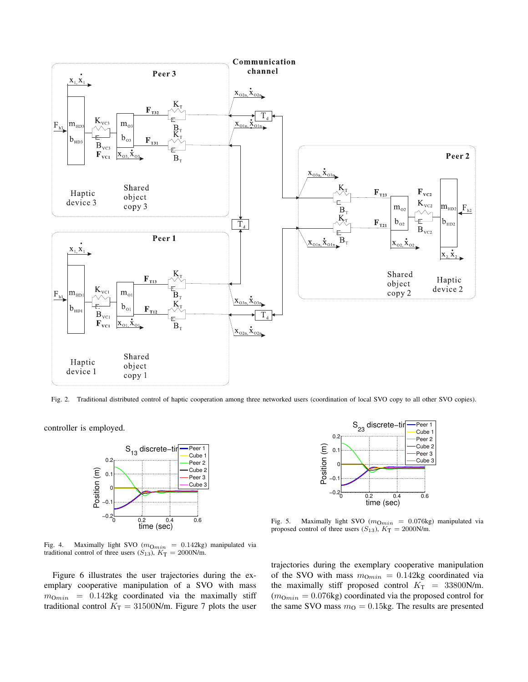

Fig. 2. Traditional distributed control of haptic cooperation among three networked users (coordination of local SVO copy to all other SVO copies).

controller is employed.





Fig. 5. Maximally light SVO  $(m_{Omin} = 0.076 \text{kg})$  manipulated via proposed control of three users  $(S_{13})$ ,  $K_T = 2000$ N/m.

Fig. 4. Maximally light SVO  $(m_{Omin} = 0.142 \text{kg})$  manipulated via traditional control of three users  $(S_{13})$ ,  $K_T = 2000$ N/m.

Figure 6 illustrates the user trajectories during the exemplary cooperative manipulation of a SVO with mass  $m_{Omin}$  = 0.142kg coordinated via the maximally stiff traditional control  $K_T = 31500$ N/m. Figure 7 plots the user trajectories during the exemplary cooperative manipulation of the SVO with mass  $m_{Omin} = 0.142$ kg coordinated via the maximally stiff proposed control  $K_T = 33800$ N/m.  $(m_{Omin} = 0.076$ kg) coordinated via the proposed control for the same SVO mass  $m<sub>O</sub> = 0.15$ kg. The results are presented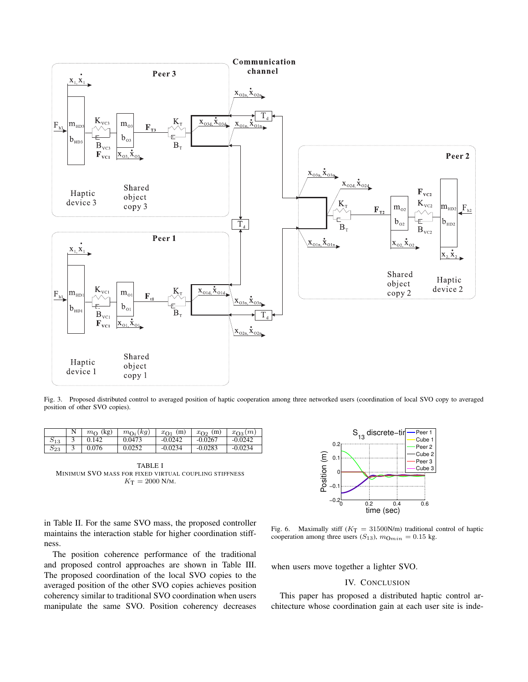

Fig. 3. Proposed distributed control to averaged position of haptic cooperation among three networked users (coordination of local SVO copy to averaged position of other SVO copies).

|          | N | $m_{\Omega}$ (kg) | $m_{\Omega_i}(kg)$ | (m)<br>$x_{\Omega_1}$ | $x_{\text{O}_2}$ (m) | $x_{\Omega_3}(m)$ |
|----------|---|-------------------|--------------------|-----------------------|----------------------|-------------------|
|          |   | 0.142             | 0.0473             | $-0.0242$             | $-0.0267$            | $-0.0242$         |
| $S_{23}$ |   | 0.076             | 0.0252             | $-0.0234$             | $-0.0283$            | $-0.0234$         |

TABLE I MINIMUM SVO MASS FOR FIXED VIRTUAL COUPLING STIFFNESS  $K_{\rm T} = 2000$  N/M.



in Table II. For the same SVO mass, the proposed controller maintains the interaction stable for higher coordination stiffness.

The position coherence performance of the traditional and proposed control approaches are shown in Table III. The proposed coordination of the local SVO copies to the averaged position of the other SVO copies achieves position coherency similar to traditional SVO coordination when users manipulate the same SVO. Position coherency decreases

Fig. 6. Maximally stiff ( $K_T = 31500$ N/m) traditional control of haptic cooperation among three users  $(S_{13})$ ,  $m_{Omin} = 0.15$  kg.

when users move together a lighter SVO.

# IV. CONCLUSION

This paper has proposed a distributed haptic control architecture whose coordination gain at each user site is inde-